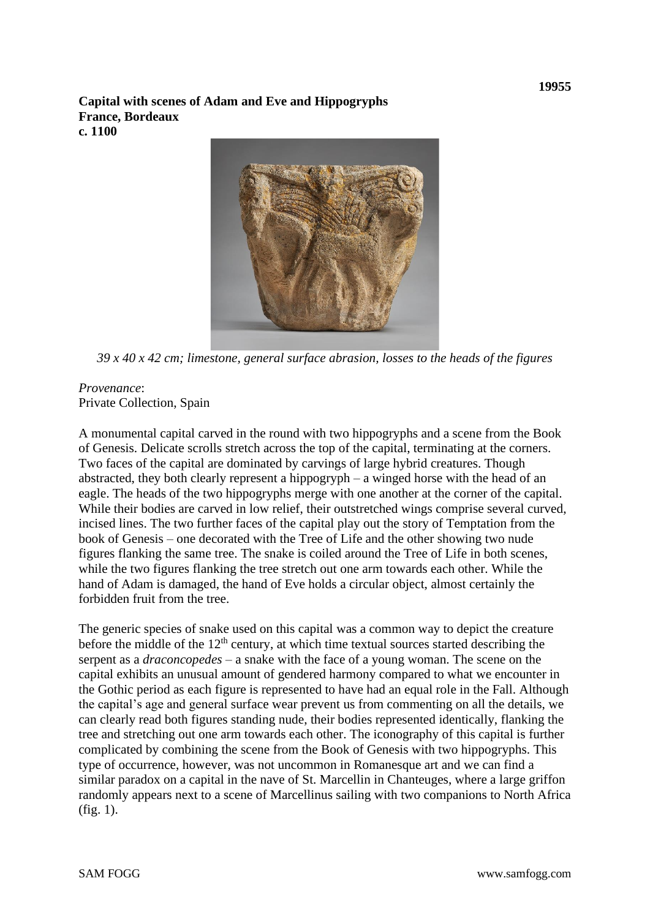**Capital with scenes of Adam and Eve and Hippogryphs France, Bordeaux c. 1100**



*39 x 40 x 42 cm; limestone, general surface abrasion, losses to the heads of the figures*

## *Provenance*: Private Collection, Spain

A monumental capital carved in the round with two hippogryphs and a scene from the Book of Genesis. Delicate scrolls stretch across the top of the capital, terminating at the corners. Two faces of the capital are dominated by carvings of large hybrid creatures. Though abstracted, they both clearly represent a hippogryph – a winged horse with the head of an eagle. The heads of the two hippogryphs merge with one another at the corner of the capital. While their bodies are carved in low relief, their outstretched wings comprise several curved, incised lines. The two further faces of the capital play out the story of Temptation from the book of Genesis – one decorated with the Tree of Life and the other showing two nude figures flanking the same tree. The snake is coiled around the Tree of Life in both scenes, while the two figures flanking the tree stretch out one arm towards each other. While the hand of Adam is damaged, the hand of Eve holds a circular object, almost certainly the forbidden fruit from the tree.

The generic species of snake used on this capital was a common way to depict the creature before the middle of the  $12<sup>th</sup>$  century, at which time textual sources started describing the serpent as a *draconcopedes* – a snake with the face of a young woman. The scene on the capital exhibits an unusual amount of gendered harmony compared to what we encounter in the Gothic period as each figure is represented to have had an equal role in the Fall. Although the capital's age and general surface wear prevent us from commenting on all the details, we can clearly read both figures standing nude, their bodies represented identically, flanking the tree and stretching out one arm towards each other. The iconography of this capital is further complicated by combining the scene from the Book of Genesis with two hippogryphs. This type of occurrence, however, was not uncommon in Romanesque art and we can find a similar paradox on a capital in the nave of St. Marcellin in Chanteuges, where a large griffon randomly appears next to a scene of Marcellinus sailing with two companions to North Africa (fig. 1).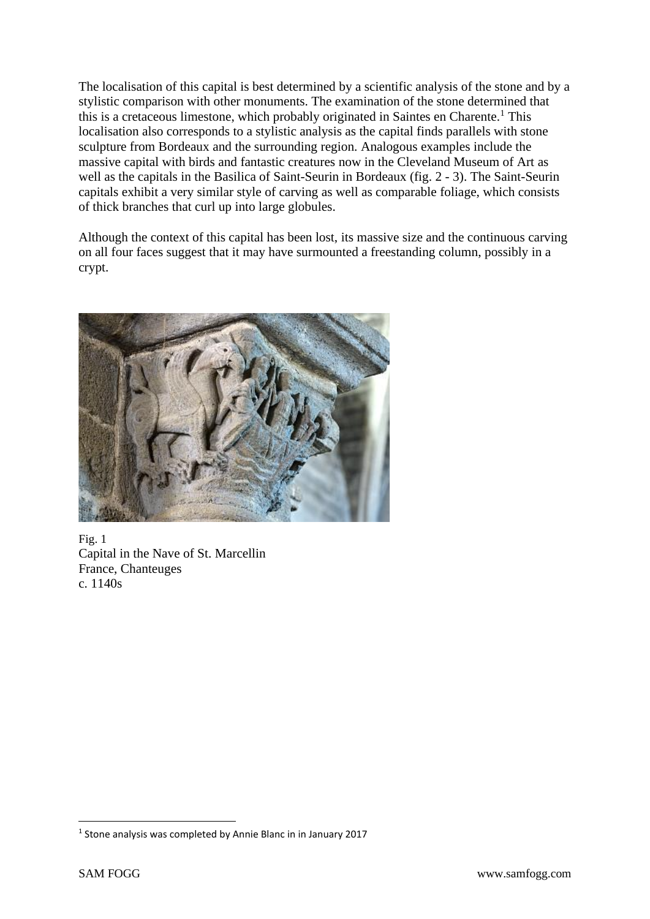The localisation of this capital is best determined by a scientific analysis of the stone and by a stylistic comparison with other monuments. The examination of the stone determined that this is a cretaceous limestone, which probably originated in Saintes en Charente.<sup>1</sup> This localisation also corresponds to a stylistic analysis as the capital finds parallels with stone sculpture from Bordeaux and the surrounding region. Analogous examples include the massive capital with birds and fantastic creatures now in the Cleveland Museum of Art as well as the capitals in the Basilica of Saint-Seurin in Bordeaux (fig. 2 - 3). The Saint-Seurin capitals exhibit a very similar style of carving as well as comparable foliage, which consists of thick branches that curl up into large globules.

Although the context of this capital has been lost, its massive size and the continuous carving on all four faces suggest that it may have surmounted a freestanding column, possibly in a crypt.



Fig. 1 Capital in the Nave of St. Marcellin France, Chanteuges c. 1140s

<sup>&</sup>lt;sup>1</sup> Stone analysis was completed by Annie Blanc in in January 2017